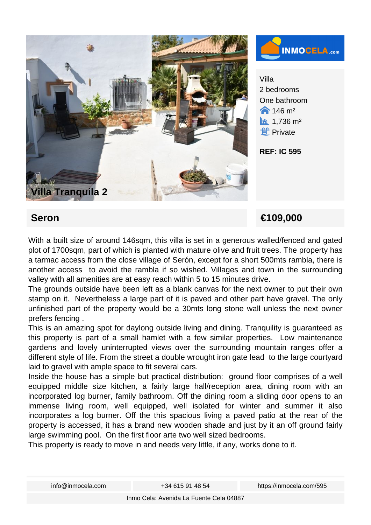



Villa 2 bedrooms One bathroom  $\bigwedge$  146 m<sup>2</sup>  $\hat{a}$  1,736 m<sup>2</sup> **ff** Private

**REF: IC 595**

## **Seron €109,000**

With a built size of around 146sqm, this villa is set in a generous walled/fenced and gated plot of 1700sqm, part of which is planted with mature olive and fruit trees. The property has a tarmac access from the close village of Serón, except for a short 500mts rambla, there is another access to avoid the rambla if so wished. Villages and town in the surrounding valley with all amenities are at easy reach within 5 to 15 minutes drive.

The grounds outside have been left as a blank canvas for the next owner to put their own stamp on it. Nevertheless a large part of it is paved and other part have gravel. The only unfinished part of the property would be a 30mts long stone wall unless the next owner prefers fencing .

This is an amazing spot for daylong outside living and dining. Tranquility is guaranteed as this property is part of a small hamlet with a few similar properties. Low maintenance gardens and lovely uninterrupted views over the surrounding mountain ranges offer a different style of life. From the street a double wrought iron gate lead to the large courtyard laid to gravel with ample space to fit several cars.

Inside the house has a simple but practical distribution: ground floor comprises of a well equipped middle size kitchen, a fairly large hall/reception area, dining room with an incorporated log burner, family bathroom. Off the dining room a sliding door opens to an immense living room, well equipped, well isolated for winter and summer it also incorporates a log burner. Off the this spacious living a paved patio at the rear of the property is accessed, it has a brand new wooden shade and just by it an off ground fairly large swimming pool. On the first floor arte two well sized bedrooms.

This property is ready to move in and needs very little, if any, works done to it.